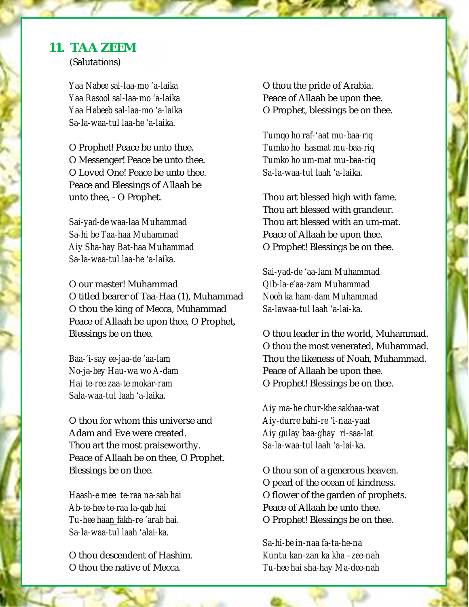## **11. TAA ZEEM**

(Salutations)

*Yaa Nabee sal-laa-mo 'a-laika Yaa Rasool sal-laa-mo 'a-laika Yaa Habeeb sal-laa-mo 'a-laika Sa-la-waa-tul laa-he 'a-laika.* 

O Prophet! Peace be unto thee. O Messenger! Peace be unto thee. O Loved One! Peace be unto thee. Peace and Blessings of Allaah be unto thee, - O Prophet.

*Sai-yad-de waa-laa Muhammad Sa-hi be Taa-haa Muhammad Aiy Sha-hay Bat-haa Muhammad Sa-la-waa-tul laa-he 'a-laika.* 

O our master! Muhammad O titled bearer of Taa-Haa (1), Muhammad O thou the king of Mecca, Muhammad Peace of Allaah be upon thee, O Prophet, Blessings be on thee.

*Baa-'i-say ee-jaa-de 'aa-lam No-ja-bey Hau-wa wo A-dam Hai te-ree zaa-te mokar-ram Sala-waa-tul laah 'a-laika.* 

O thou for whom this universe and Adam and Eve were created. Thou art the most praiseworthy. Peace of Allaah be on thee, O Prophet. Blessings be on thee.

*Haash-e mee te-raa na-sab hai Ab-te-hee te-raa la-qab hai Tu-hee haan fakh-re 'arab hai. Sa-la-waa-tul laah 'alai-ka.* 

O thou descendent of Hashim. O thou the native of Mecca.

O thou the pride of Arabia. Peace of Allaah be upon thee. O Prophet, blessings be on thee.

*Tumqo ho raf-'aat mu-baa-riq Tumko ho hasmat mu-baa-riq Tumko ho um-mat mu-baa-riq Sa-la-waa-tul laah 'a-laika.* 

Thou art blessed high with fame. Thou art blessed with grandeur. Thou art blessed with an um-mat. Peace of Allaah be upon thee. O Prophet! Blessings be on thee.

*Sai-yad-de 'aa-lam Muhammad Qib-la-e'aa-zam Muhammad Nooh ka ham-dam Muhammad Sa-lawaa-tul laah 'a-lai-ka.* 

O thou leader in the world, Muhammad. O thou the most venerated, Muhammad. Thou the likeness of Noah, Muhammad. Peace of Allaah be upon thee. O Prophet! Blessings be on thee.

*Aiy ma-he chur-khe sakhaa-wat Aiy-durre bahi-re 'i-naa-yaat Aiy gulay baa-ghay ri-saa-lat Sa-la-waa-tul laah 'a-lai-ka.* 

O thou son of a generous heaven. O pearl of the ocean of kindness. O flower of the garden of prophets. Peace of Allaah be unto thee. O Prophet! Blessings be on thee.

Page **1** of **2** *Tu-hee hai sha-hay Ma-dee-nah Sa-hi-be in-naa fa-ta-he-na Kuntu kan-zan ka kha –zee-nah*